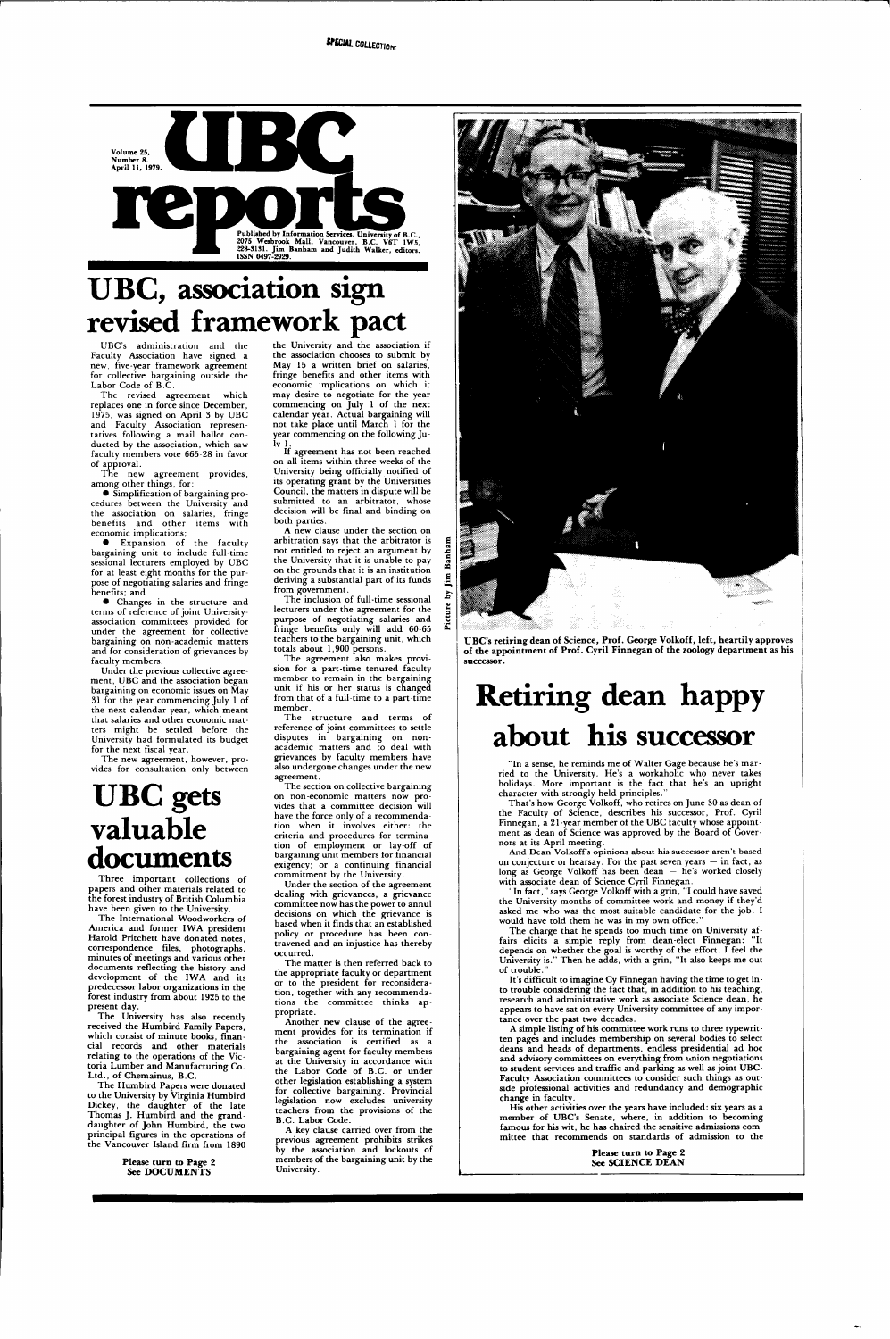

# **UBC, association sign revised framework pact**

UBC's administration and the Faculty Association have signed a new, five-year framework agreement for collective bargaining outside the Labor Code of B.C.

The new agreement provides, among other things, for:

The revised agreement, which replaces one in force since December, 1975, was signed on April 3 by UBC and Faculty Association representatives following a mail ballot conducted by the association, which saw faculty members vote 665-28 in favor of approval.

• Simplification of bargaining procedures between the University and the association on salaries, fringe benefits and other items with economic implications;

• Expansion of the faculty bargaining unit to include full-time sessional lecturers employed by UBC for at least eight months for the purpose of negotiating salaries and fringe benefits; and

• Changes in the structure and terms of reference of joint University association committees provided for under the agreement for collective bargaining on non-academic matters and for consideration of grievances by faculty members.

Under the previous collective agreement, UBC and the association began bargaining on economic issues on May 31 for the year commencing July 1 of the next calendar year, which meant that salaries and other economic matters might be settled before the University had formulated its budget for the next fiscal year.

The new agreement, however, provides for consultation only between

## **UBC gets valuable documents**

Three important collections of papers and other materials related to the forest industry of British Columbia have been given to the University.

The International Woodworkers of America and former IWA president Harold Pritchett have donated notes, correspondence files, photographs, minutes of meetings and various other documents reflecting the history and development of the IWA and its

The structure and terms of reference of joint committees to settle disputes in bargaining on nonacademic matters and to deal with grievances by faculty members have also undergone changes under the new agreement.

predecessor labor organizations in the forest industry from about 1925 to the present day.

The University has also recently received the Humbird Family Papers, which consist of minute books, financial records and other materials relating to the operations of the Victoria Lumber and Manufacturing Co. Ltd., of Chemainus, B.C.

The Humbird Papers were donated to the University by Virginia Humbird Dickey, the daughter of the late Thomas J. Humbird and the granddaughter of John Humbird, the two principal figures in the operations of the Vancouver Island firm from 1890

> **Please turn to Page 2 See DOCUMENTS**

the University and the association if the association chooses to submit by May 15 a written brief on salaries, fringe benefits and other items with economic implications on which it may desire to negotiate for the year commencing on July 1 of the next calendar year. Actual bargaining will not take place until March 1 for the year commencing on the following Julv 1.

> "In fact," says George Volkoff with a grin, "I could have saved the University months of committee work and money if they'd asked me who was the most suitable candidate for the job. I would have told them he was in my own office.

If agreement has not been reached on all items within three weeks of the University being officially notified of its operating grant by the Universities Council, the matters in dispute will be submitted to an arbitrator, whose decision will be final and binding on both parties.

> The charge that he spends too much time on University affairs elicits a simple reply from dean-elect Finnegan: "It depends on whether the goal is worthy of the effort. I feel the University is." Then he adds, with a grin, "It also keeps me out of trouble.

A new clause under the section on arbitration says that the arbitrator is not entitled to reject an argument by the University that it is unable to pay on the grounds that it is an institution deriving a substantial part of its funds from government.

The inclusion of full-time sessional lecturers under the agreement for the purpose of negotiating salaries and fringe benefits only will add 60-65 teachers to the bargaining unit, which totals about 1,900 persons.

The agreement also makes provision for a part-time tenured faculty member to remain in the bargaining unit if his or her status is changed from that of a full-time to a part-time member.

The section on collective bargaining on non-economic matters now provides that a committee decision will have the force only of a recommendation when it involves either: the criteria and procedures for termination of employment or lay-off of bargaining unit members for financial exigency; or a continuing financial commitment by the University.

Under the section of the agreement dealing with grievances, a grievance committee now has the power to annul decisions on which the grievance is based when it finds that an established policy or procedure has been contravened and an injustice has thereby occurred.

The matter is then referred back to the appropriate faculty or department president for recons tion, together with any recommendations the committee thinks appropriate. Another new clause of the agreement provides for its termination if the association is certified as a bargaining agent for faculty members at the University in accordance with the Labor Code of B.C. or under other legislation establishing a system for collective bargaining. Provincial legislation now excludes university teachers from the provisions of the B.C. Labor Code.



A key clause carried over from the previous agreement prohibits strikes by the association and lockouts of members of the bargaining unit by the University.

**UBC's retiring dean of Science, Prof. George Volkoff, left, heartily approves of the appointment of Prof. Cyril Finnegan of the zoology department** as his **successor.** 

# **Retiring dean happy about his successor**

**"In** a sense, he reminds me of Walter Gage because he's married to the University. He's a workaholic who never takes holidays. More important is the fact that he's an upright character with strongly held principles."

That's how George Volkoff, who retires on June 30 as dean of the Faculty of Science, describes his successor, Prof. Cyril Finnegan, a 21-year member of the UBC faculty whose appointment as dean of Science was approved by the Board of Governors at its April meeting.

And Dean VolkofFs opinions about his successor aren't based on conjecture or hearsay. For the past seven years  $-$  in fact, as long as George Volkoff has been dean — he's worked closely with associate dean of Science Cyril Finnegan.

It's difficult to imagine Cy Finnegan having the time to get in-

to trouble considering the fact that, in addition to his teaching, research and administrative work as associate Science dean, he appears to have sat on every University committee of any importance over the past two decades.

A simple listing of his committee work runs to three typewritten pages and includes membership on several bodies to select deans and heads of departments, endless presidential ad hoc and advisory committees on everything from union negotiations to student services and traffic and parking as well as joint UBC-Faculty Association committees to consider such things as outside professional activities and redundancy and demographic change in faculty.

His other activities over the years have included: six years as a member of UBC's Senate, where, in addition to becoming famous for his wit, he has chaired the sensitive admissions committee that recommends on standards of admission to the

> **Please turn to Page 2 See SCIENCE DEAN**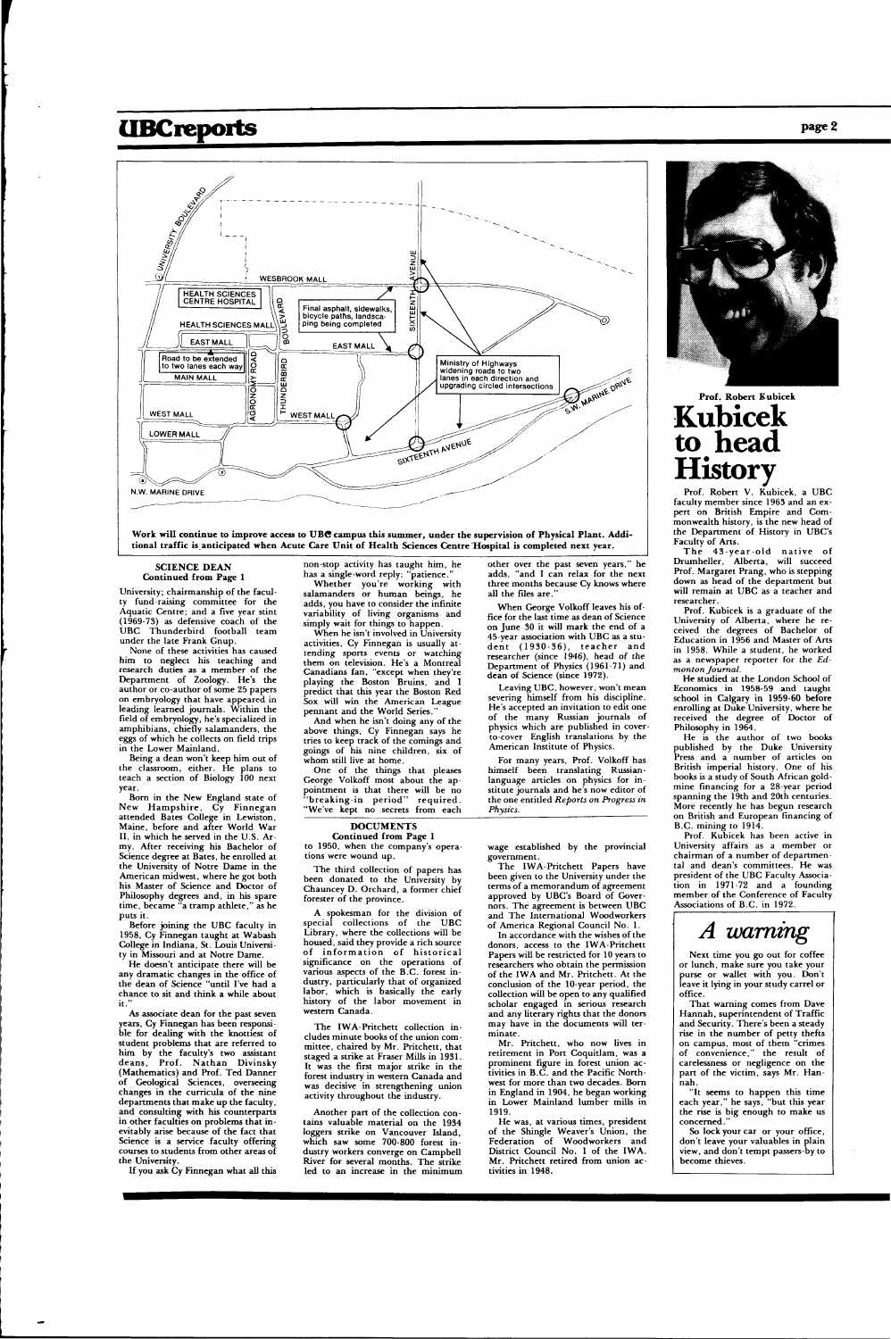### **UBC reports page 2**



Work will continue to improve access to UBC campus this summer, under the supervision of Physical Plant. Addi**tional traffic is anticipated when Acute Care Unit of Health Sciences Centre'Hospital is completed next year.** 

#### **SCIENCE DEAN Continued from Page 1**

University; chairmanship of the faculty fund-raising committee for the Aquatic Centre; and a five year stint (1969-73) as defensive coach of the UBC Thunderbird football team under the late Frank Gnup.

None of these activities has caused him to neglect his teaching and research duties as a member of the Department of Zoology. He's the author or co-author of some 25 papers on embryology that have appeared in leading learned journals. Within the field of embryology, he's specialized in amphibians, chiefly salamanders, the eggs of which he collects on field trips in the Lower Mainland.

He doesn't anticipate there will be any dramatic changes in the office of the dean of Science "until I've had a chance to sit and think a while about it.

Being a dean won't keep him out of the classroom, either. He plans to teach a section of Biology 100 next year.

Born in the New England state of New Hampshire, Cy Finnegan attended Bates College in Lewiston, Maine, before and after World War II, in which he served in the U.S. Army. After receiving his Bachelor of Science degree at Bates, he enrolled at the University of Notre Dame in the American midwest, where he got both his Master of Science and Doctor of Philosophy degrees and, in his spare time, became "a tramp athlete," as he puts it.

Whether you're working with salamanders or human beings, he adds, you have to consider the infinite variability of living organisms and simply wait for things to happen.

When he isn't involved in University activities, Cy Finnegan is usually attending sports events or watching them on television. He's a Montreal Canadians fan, "except when they're playing the Boston Bruins, and I predict that this year the Boston Red Sox will win the American League pennant and the World Series.

Before joining the UBC faculty in 1958, Cy Finnegan taught at Wabash College in Indiana, St. Louis University in Missouri and at Notre Dame.

When George Volkoff leaves his office for the last time as dean of Science on June 30 it will mark the end of a 45-year association with UBC as a student  $(1930-36)$ , teacher and researcher (since 1946), head of the Department of Physics (1961-71) and dean of Science (since 1972)

As associate dean for the past seven years, Cy Finnegan has been responsible for dealing with the knottiest of student problems that are referred to him by the faculty's two assistant deans, Prof. Nathan Divinsky (Mathematics) and Prof. Ted Danner of Geological Sciences, overseeing changes in the curricula of the nine departments that make up the faculty, and consulting with his counterparts in other faculties on problems that inevitably arise because of the fact that Science is a service faculty offering courses to students from other areas of the University.

If you ask Cy Finnegan what all this

non-stop activity has taught him, he has a single-word reply: "patience."

And when he isn't doing any of the above things, Cy Finnegan says he tries to keep track of the comings and goings of his nine children, six of whom still live at home.

One of the things that pleases George Volkoff most about the appointment is that there will be no "breaking-in period" required. "We've kept no secrets from each

other over the past seven years," he adds, "and I can relax for the next three months because Cy knows where all the files are. "

The 43-year-old native of Drumheller, Alberta, will succeed Prof. Margaret Prang, who is stepping down as head of the department but will remain at UBC as a teacher and researcher.

Leaving UBC, however, won't mean severing himself from his discipline. He's accepted an invitation to edit one of the many Russian journals of physics which are published in coverto-cover English translations by the American Institute of Physics.

For many years, Prof. Volkoff has himself been translating Russianlanguage articles on physics for institute journals and he's now editor of the one entitled *Reports on Progress in Physics.* 

#### **DOCUMENTS**

**Continued from Page 1**  to 1950, when the company's operations were wound up.

> So lock your car or your office, don't leave your valuables in plain view, and don't tempt passers-by to become thieves.

The third collection of papers has been donated to the University by Chauncey D. Orchard, a former chief forester of the province.

A spokesman for the division of special collections of the UBC Library, where the collections will be housed, said they provide a rich source of information of historical significance on the operations of various aspects of the B.C. forest innarticularly that labor, which is basically the early history of the labor movement in western Canada.

The IWA-Pritchett collection includes minute books of the union committee, chaired by Mr. Pritchett, that staged a strike at Fraser Mills in 1931. It was the first major strike in the forest industry in western Canada and was decisive in strengthening union activity throughout the industry.

Another part of the collection contains valuable material on the 1934 loggers strike on Vancouver Island, which saw some 700-800 forest industry workers converge on Campbell River for several months. The strike led to an increase in the minimum wage established by the provincial government.

The IWA-Pritchett Papers have been given to the University under the terms of a memorandum of agreement approved by UBC's Board of Governors. The agreement is between UBC and The International Woodworkers of America Regional Council No. 1.

In accordance with the wishes of the donors, access to the IWA-Pritchett Papers will be restricted for 10 years to researchers who obtain the permission of the IWA and Mr. Pritchett. At the conclusion of the 10-year period, the collection will be open to any qualified scholar engaged in serious research and any literary rights that the donors may have in the documents will terminate. Mr. Pritchett, who now lives in retirement in Port Coquitlam, was a prominent figure in forest union activities in B.C. and the Pacific Northwest for more than two decades. Born in England in 1904, he began working in Lower Mainland lumber mills in 1919.



He was, at various times, president of the Shingle Weaver's Union, the Federation of Woodworkers and District Council No. 1 of the IWA. Mr. Pritchett retired from union activities in 1948.

#### **Prof. Robert Kubicek Kubicek to head History**

Prof. Robert V. Kubicek, a UBC faculty member since 1963 and an expert on British Empire and Commonwealth history, is the new head of the Department of History in UBC's Faculty of Arts.

Prof. Kubicek is a graduate of the University of Alberta, where he received the degrees of Bachelor of Education in 1956 and Master of Arts in 1958. While a student, he worked as a newspaper reporter for the *Edmonton Journal.* 

He studied at the London School of Economics in 1958-59 and taught school in Calgary in 1959-60 before enrolling at Duke University, where he received the degree of Doctor of Philosophy in 1964.

He is the author of two books published by the Duke University Press and a number of articles on British imperial history. One of his books is a study of South African goldmine financing for a 28-year period spanning the 19th and 20th centuries. More recently he has begun research on British and European financing of B.C. mining to 1914.

Prof. Kubicek has been active in University affairs as a member or chairman of a number of departmental and dean's committees. He was president of the UBC Faculty Association in 1971-72 and a founding member of the Conference of Faculty Associations of B.C. in 1972.

### *A warning*

Next time you go out for coffee or lunch, make sure you take your purse or wallet with you. Don't leave it lying in your study carrel or office. That warning comes from Dave Hannah, superintendent of Traffic and Security. There's been a steady rise in the number of petty thefts on campus, most of them "crimes of convenience," the result of carelessness or negligence on the part of the victim, says Mr. Hannah. "It seems to happen this time each year," he says, "but this year the rise is big enough to make us concerned."